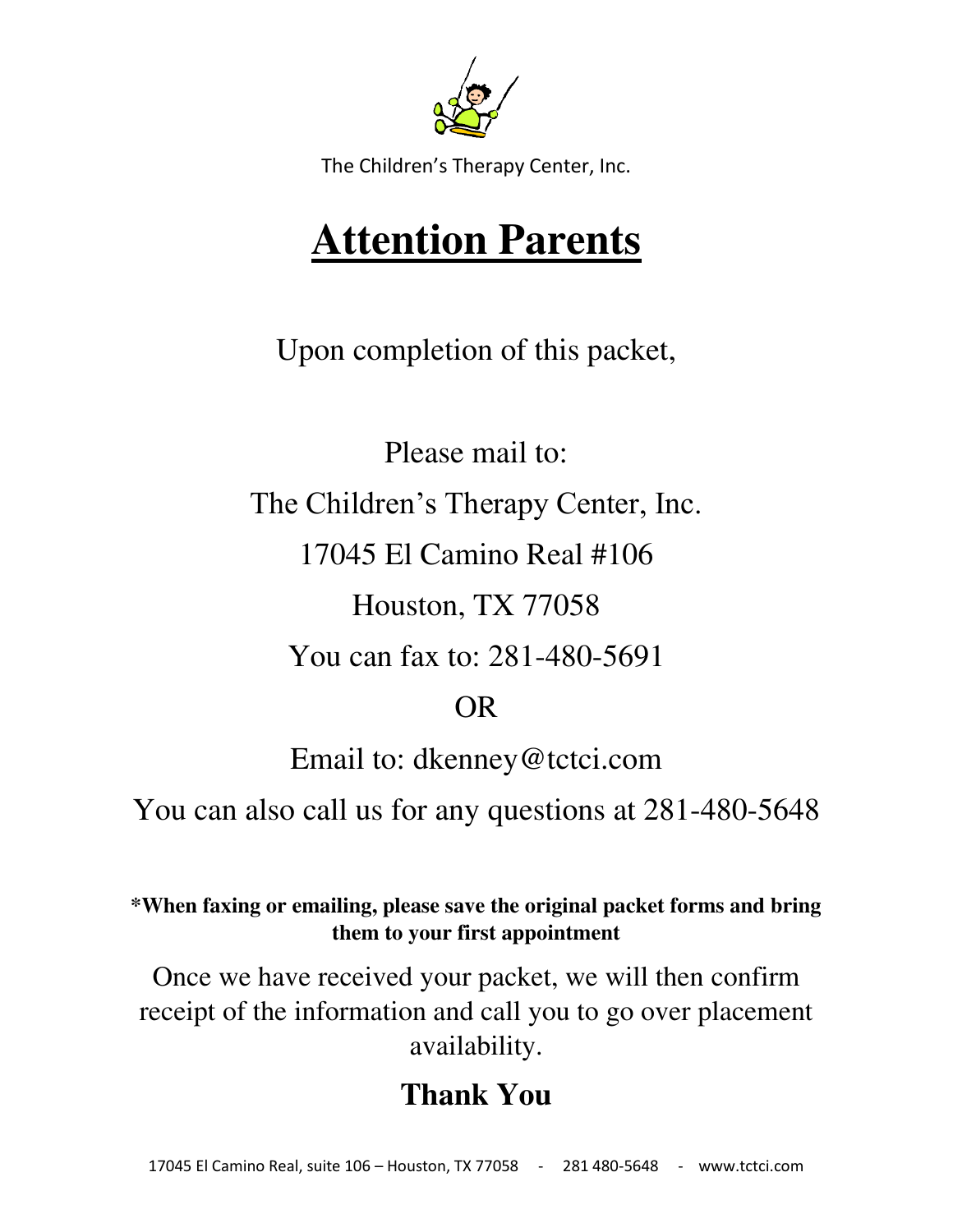

The Children's Therapy Center, Inc.

# **Attention Parents**

Upon completion of this packet,

Please mail to:

The Children's Therapy Center, Inc.

17045 El Camino Real #106

Houston, TX 77058

You can fax to: 281-480-5691

# OR

Email to: dkenney@tctci.com

You can also call us for any questions at 281-480-5648

**\*When faxing or emailing, please save the original packet forms and bring them to your first appointment**

Once we have received your packet, we will then confirm receipt of the information and call you to go over placement availability.

# **Thank You**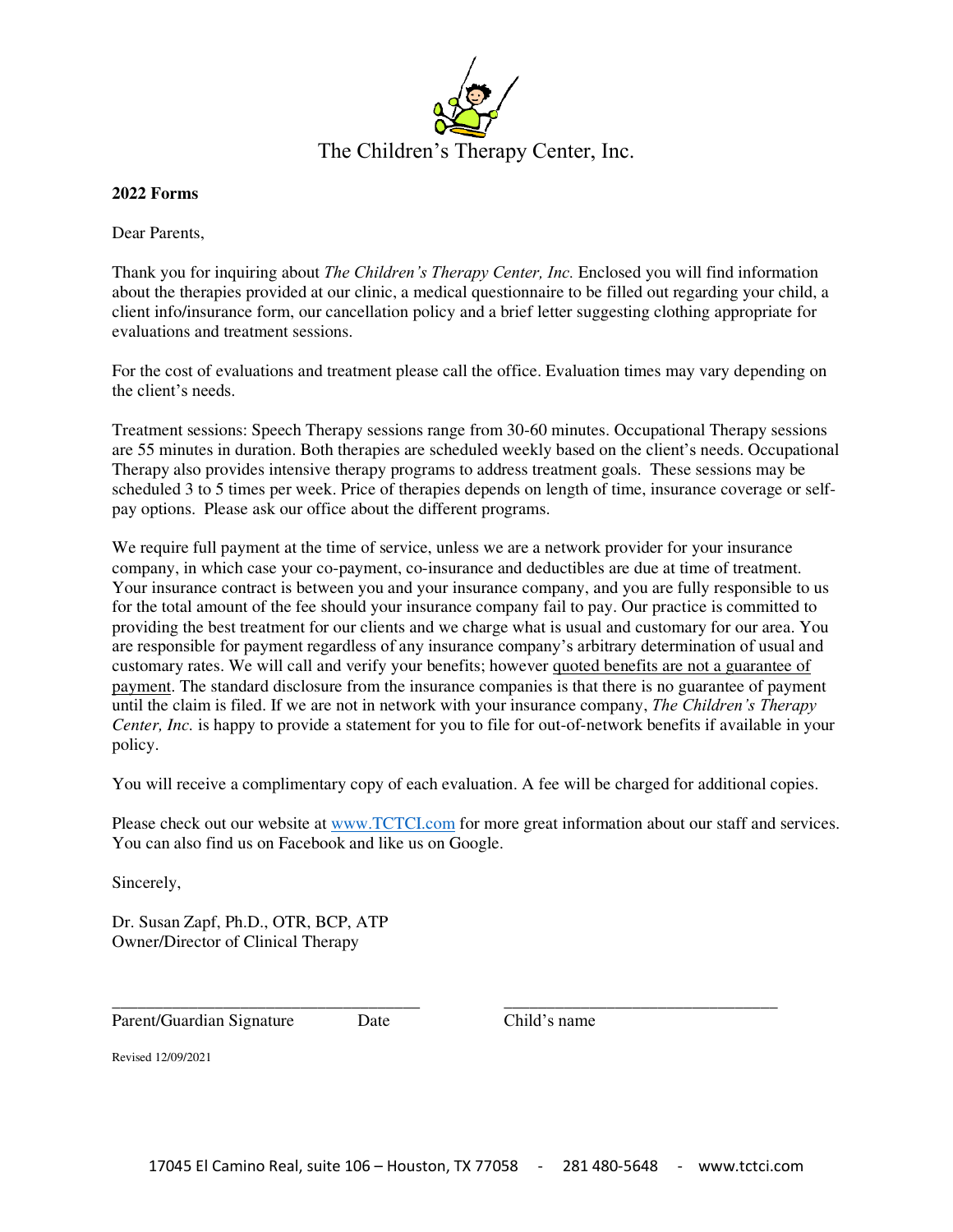

#### **2022 Forms**

Dear Parents,

Thank you for inquiring about *The Children's Therapy Center, Inc.* Enclosed you will find information about the therapies provided at our clinic, a medical questionnaire to be filled out regarding your child, a client info/insurance form, our cancellation policy and a brief letter suggesting clothing appropriate for evaluations and treatment sessions.

For the cost of evaluations and treatment please call the office. Evaluation times may vary depending on the client's needs.

Treatment sessions: Speech Therapy sessions range from 30-60 minutes. Occupational Therapy sessions are 55 minutes in duration. Both therapies are scheduled weekly based on the client's needs. Occupational Therapy also provides intensive therapy programs to address treatment goals. These sessions may be scheduled 3 to 5 times per week. Price of therapies depends on length of time, insurance coverage or selfpay options. Please ask our office about the different programs.

We require full payment at the time of service, unless we are a network provider for your insurance company, in which case your co-payment, co-insurance and deductibles are due at time of treatment. Your insurance contract is between you and your insurance company, and you are fully responsible to us for the total amount of the fee should your insurance company fail to pay. Our practice is committed to providing the best treatment for our clients and we charge what is usual and customary for our area. You are responsible for payment regardless of any insurance company's arbitrary determination of usual and customary rates. We will call and verify your benefits; however quoted benefits are not a guarantee of payment. The standard disclosure from the insurance companies is that there is no guarantee of payment until the claim is filed. If we are not in network with your insurance company, *The Children's Therapy Center, Inc.* is happy to provide a statement for you to file for out-of-network benefits if available in your policy.

You will receive a complimentary copy of each evaluation. A fee will be charged for additional copies.

\_\_\_\_\_\_\_\_\_\_\_\_\_\_\_\_\_\_\_\_\_\_\_\_\_\_\_\_\_\_\_\_\_\_\_\_ \_\_\_\_\_\_\_\_\_\_\_\_\_\_\_\_\_\_\_\_\_\_\_\_\_\_\_\_\_\_\_\_

Please check out our website a[t www.TCTCI.com](http://www.tctci.com/) for more great information about our staff and services. You can also find us on Facebook and like us on Google.

Sincerely,

Dr. Susan Zapf, Ph.D., OTR, BCP, ATP Owner/Director of Clinical Therapy

Parent/Guardian Signature Date Child's name

Revised 12/09/2021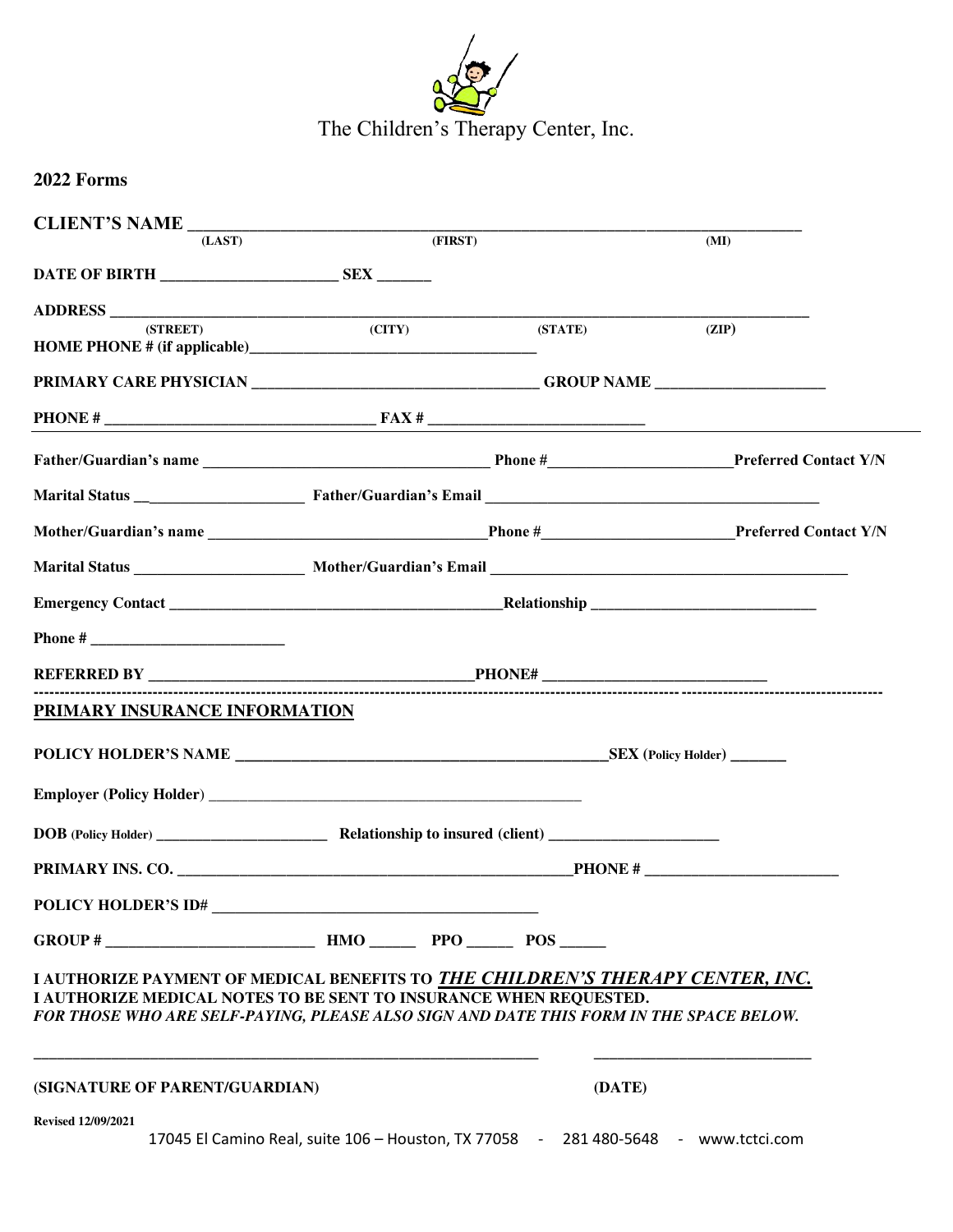

The Children's Therapy Center, Inc.

| 2022 Forms                                                                                                                                                                                                                                    |                                                                                    |         |         |
|-----------------------------------------------------------------------------------------------------------------------------------------------------------------------------------------------------------------------------------------------|------------------------------------------------------------------------------------|---------|---------|
|                                                                                                                                                                                                                                               |                                                                                    |         |         |
| (LAST)                                                                                                                                                                                                                                        | (FIRST)                                                                            |         | (MI)    |
|                                                                                                                                                                                                                                               |                                                                                    |         |         |
| (STREET)                                                                                                                                                                                                                                      |                                                                                    | (STATE) | (ZIP)   |
|                                                                                                                                                                                                                                               | (CITY)                                                                             |         |         |
|                                                                                                                                                                                                                                               |                                                                                    |         |         |
|                                                                                                                                                                                                                                               |                                                                                    |         |         |
|                                                                                                                                                                                                                                               |                                                                                    |         |         |
|                                                                                                                                                                                                                                               |                                                                                    |         |         |
|                                                                                                                                                                                                                                               |                                                                                    |         |         |
|                                                                                                                                                                                                                                               |                                                                                    |         |         |
|                                                                                                                                                                                                                                               |                                                                                    |         |         |
|                                                                                                                                                                                                                                               |                                                                                    |         |         |
|                                                                                                                                                                                                                                               |                                                                                    |         |         |
| PRIMARY INSURANCE INFORMATION                                                                                                                                                                                                                 |                                                                                    |         |         |
|                                                                                                                                                                                                                                               |                                                                                    |         |         |
|                                                                                                                                                                                                                                               |                                                                                    |         |         |
|                                                                                                                                                                                                                                               |                                                                                    |         |         |
|                                                                                                                                                                                                                                               |                                                                                    |         | PHONE # |
| POLICY HOLDER'S ID#                                                                                                                                                                                                                           |                                                                                    |         |         |
| GROUP # $\_\_\_\_\_\_\_\$ HMO $\_\_\_\$ PPO $\_\_\_\$ POS $\_\_\_\$                                                                                                                                                                           |                                                                                    |         |         |
| I AUTHORIZE PAYMENT OF MEDICAL BENEFITS TO THE CHILDREN'S THERAPY CENTER, INC.<br>I AUTHORIZE MEDICAL NOTES TO BE SENT TO INSURANCE WHEN REQUESTED.<br>FOR THOSE WHO ARE SELF-PAYING, PLEASE ALSO SIGN AND DATE THIS FORM IN THE SPACE BELOW. |                                                                                    |         |         |
| (SIGNATURE OF PARENT/GUARDIAN)                                                                                                                                                                                                                |                                                                                    | (DATE)  |         |
| <b>Revised 12/09/2021</b>                                                                                                                                                                                                                     | 17045 El Camino Real, suite 106 - Houston, TX 77058 - 281 480-5648 - www.tctci.com |         |         |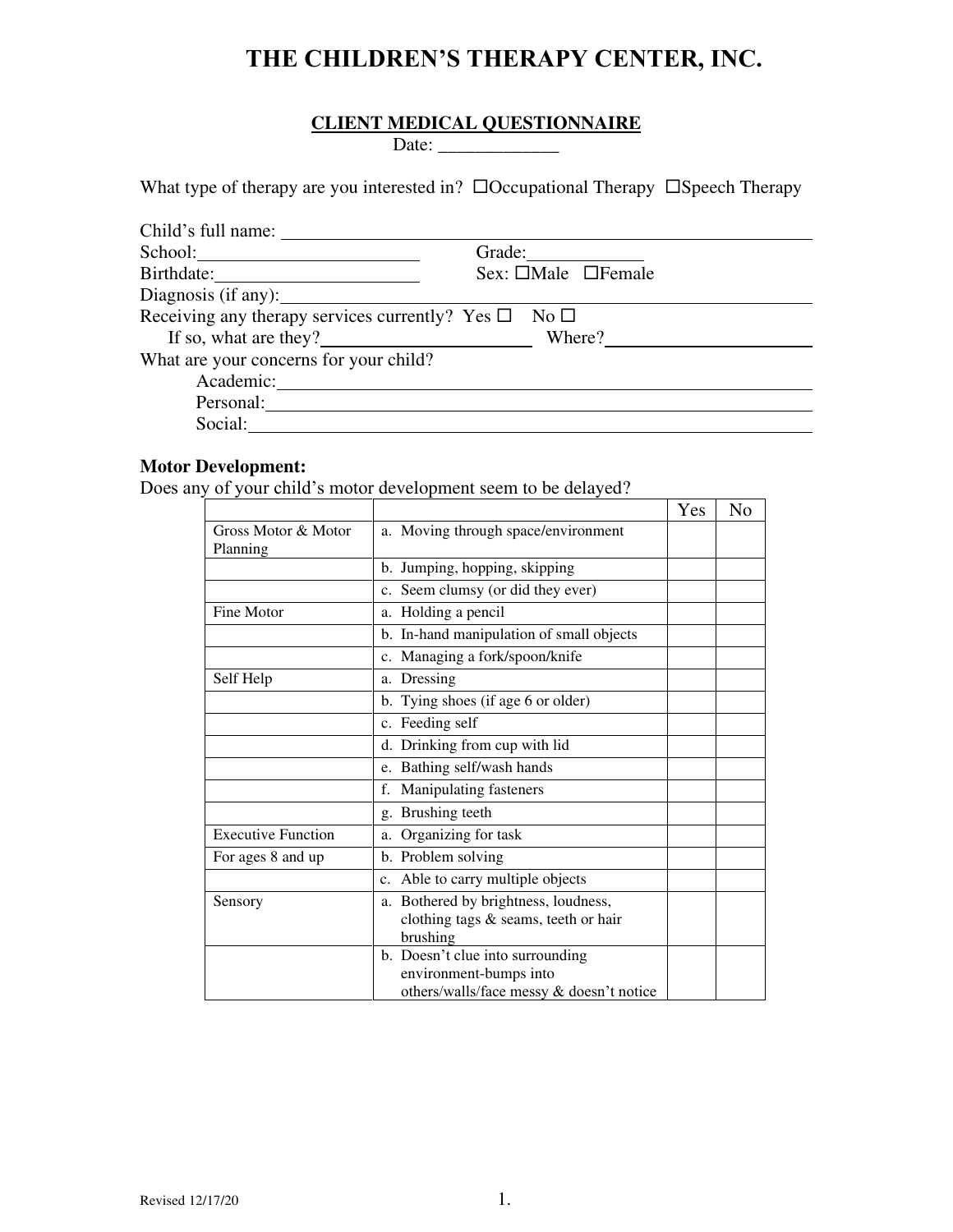### **THE CHILDREN'S THERAPY CENTER, INC.**

#### **CLIENT MEDICAL QUESTIONNAIRE**

Date: \_\_\_\_\_\_\_\_\_\_\_\_\_

What type of therapy are you interested in?  $\Box$ Occupational Therapy  $\Box$ Speech Therapy

| Child's full name:                                                   |                                |
|----------------------------------------------------------------------|--------------------------------|
|                                                                      |                                |
|                                                                      | Sex: $\Box$ Male $\Box$ Female |
|                                                                      |                                |
| Receiving any therapy services currently? Yes $\square$ No $\square$ |                                |
| If so, what are they? Where?                                         |                                |
| What are your concerns for your child?                               |                                |
| Academic:                                                            |                                |
| Personal:                                                            |                                |
| Social:                                                              |                                |

#### **Motor Development:**

Does any of your child's motor development seem to be delayed?

|                                 |                                                                                                        | Yes | No |
|---------------------------------|--------------------------------------------------------------------------------------------------------|-----|----|
| Gross Motor & Motor<br>Planning | a. Moving through space/environment                                                                    |     |    |
|                                 | b. Jumping, hopping, skipping                                                                          |     |    |
|                                 | c. Seem clumsy (or did they ever)                                                                      |     |    |
| Fine Motor                      | a. Holding a pencil                                                                                    |     |    |
|                                 | b. In-hand manipulation of small objects                                                               |     |    |
|                                 | c. Managing a fork/spoon/knife                                                                         |     |    |
| Self Help                       | a. Dressing                                                                                            |     |    |
|                                 | b. Tying shoes (if age 6 or older)                                                                     |     |    |
|                                 | c. Feeding self                                                                                        |     |    |
|                                 | d. Drinking from cup with lid                                                                          |     |    |
|                                 | e. Bathing self/wash hands                                                                             |     |    |
|                                 | Manipulating fasteners<br>f.                                                                           |     |    |
|                                 | g. Brushing teeth                                                                                      |     |    |
| <b>Executive Function</b>       | Organizing for task<br>a.                                                                              |     |    |
| For ages 8 and up               | b. Problem solving                                                                                     |     |    |
|                                 | Able to carry multiple objects<br>c.                                                                   |     |    |
| Sensory                         | a. Bothered by brightness, loudness,<br>clothing tags & seams, teeth or hair<br>brushing               |     |    |
|                                 | b. Doesn't clue into surrounding<br>environment-bumps into<br>others/walls/face messy & doesn't notice |     |    |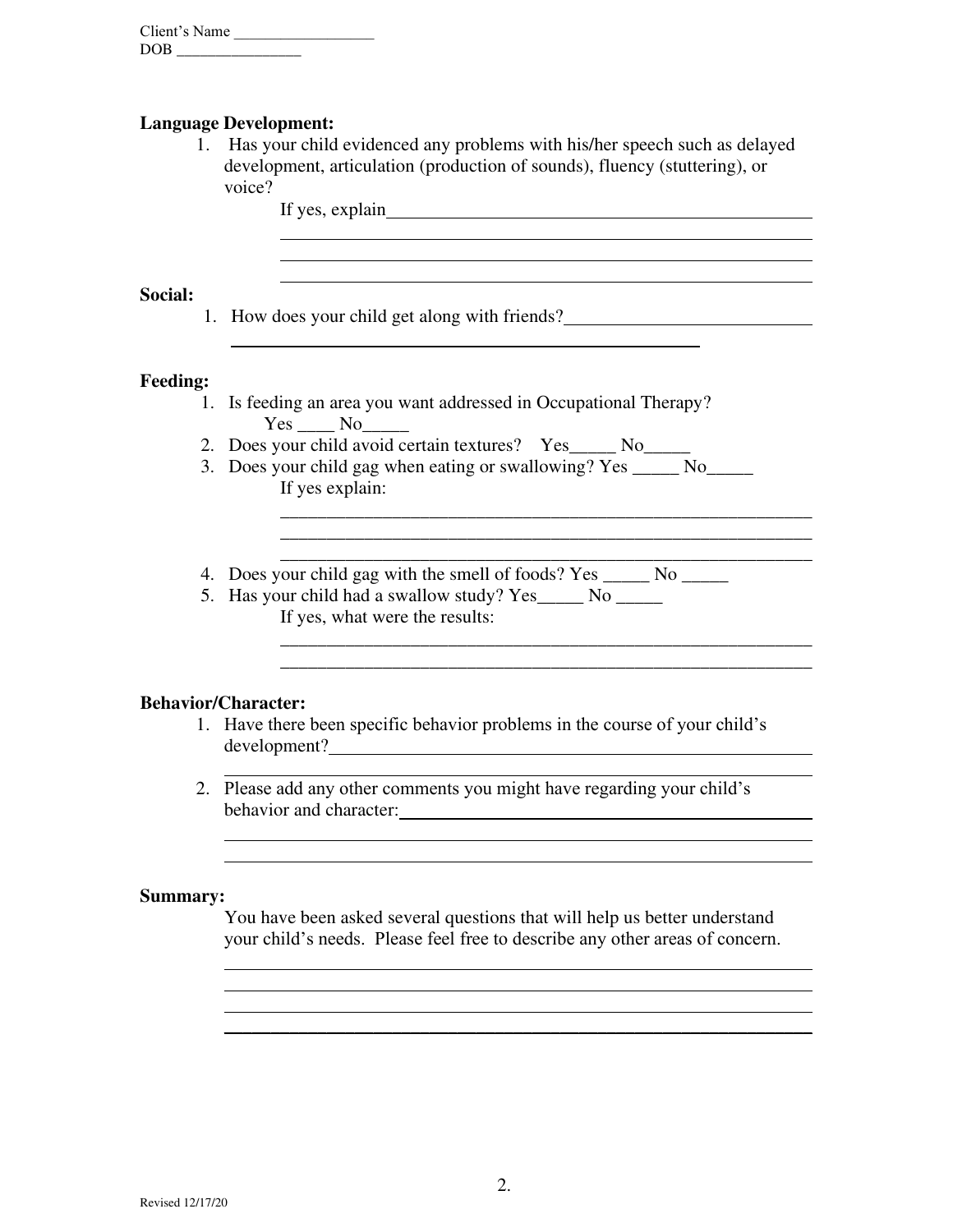| Client's Name |  |
|---------------|--|
| <b>DOB</b>    |  |

#### **Language Development:**

 $\overline{a}$ 

1. Has your child evidenced any problems with his/her speech such as delayed development, articulation (production of sounds), fluency (stuttering), or voice?

If yes, explain

 $\overline{a}$ 

 $\overline{a}$ 

#### **Social:**

1. How does your child get along with friends?

#### **Feeding:**

- 1. Is feeding an area you want addressed in Occupational Therapy? Yes No
- 2. Does your child avoid certain textures? Yes No
- 3. Does your child gag when eating or swallowing? Yes \_\_\_\_\_\_ No If yes explain:

\_\_\_\_\_\_\_\_\_\_\_\_\_\_\_\_\_\_\_\_\_\_\_\_\_\_\_\_\_\_\_\_\_\_\_\_\_\_\_\_\_\_\_\_\_\_\_\_\_\_\_\_\_\_\_\_\_ \_\_\_\_\_\_\_\_\_\_\_\_\_\_\_\_\_\_\_\_\_\_\_\_\_\_\_\_\_\_\_\_\_\_\_\_\_\_\_\_\_\_\_\_\_\_\_\_\_\_\_\_\_\_\_\_\_ \_\_\_\_\_\_\_\_\_\_\_\_\_\_\_\_\_\_\_\_\_\_\_\_\_\_\_\_\_\_\_\_\_\_\_\_\_\_\_\_\_\_\_\_\_\_\_\_\_\_\_\_\_\_\_\_\_

<u> 1989 - Johann Stoff, deutscher Stoffen und der Stoffen und der Stoffen und der Stoffen und der Stoffen und d</u>

\_\_\_\_\_\_\_\_\_\_\_\_\_\_\_\_\_\_\_\_\_\_\_\_\_\_\_\_\_\_\_\_\_\_\_\_\_\_\_\_\_\_\_\_\_\_\_\_\_\_\_\_\_\_\_\_\_

- 4. Does your child gag with the smell of foods? Yes \_\_\_\_\_\_ No \_\_\_\_\_\_
- 5. Has your child had a swallow study? Yes\_\_\_\_\_ No \_\_\_\_\_ If yes, what were the results:

#### **Behavior/Character:**

 $\overline{a}$  $\overline{a}$ 

 $\overline{a}$  $\overline{a}$  $\overline{a}$ 

- 1. Have there been specific behavior problems in the course of your child's development?
- $\overline{a}$ 2. Please add any other comments you might have regarding your child's behavior and character:

#### **Summary:**

You have been asked several questions that will help us better understand your child's needs. Please feel free to describe any other areas of concern.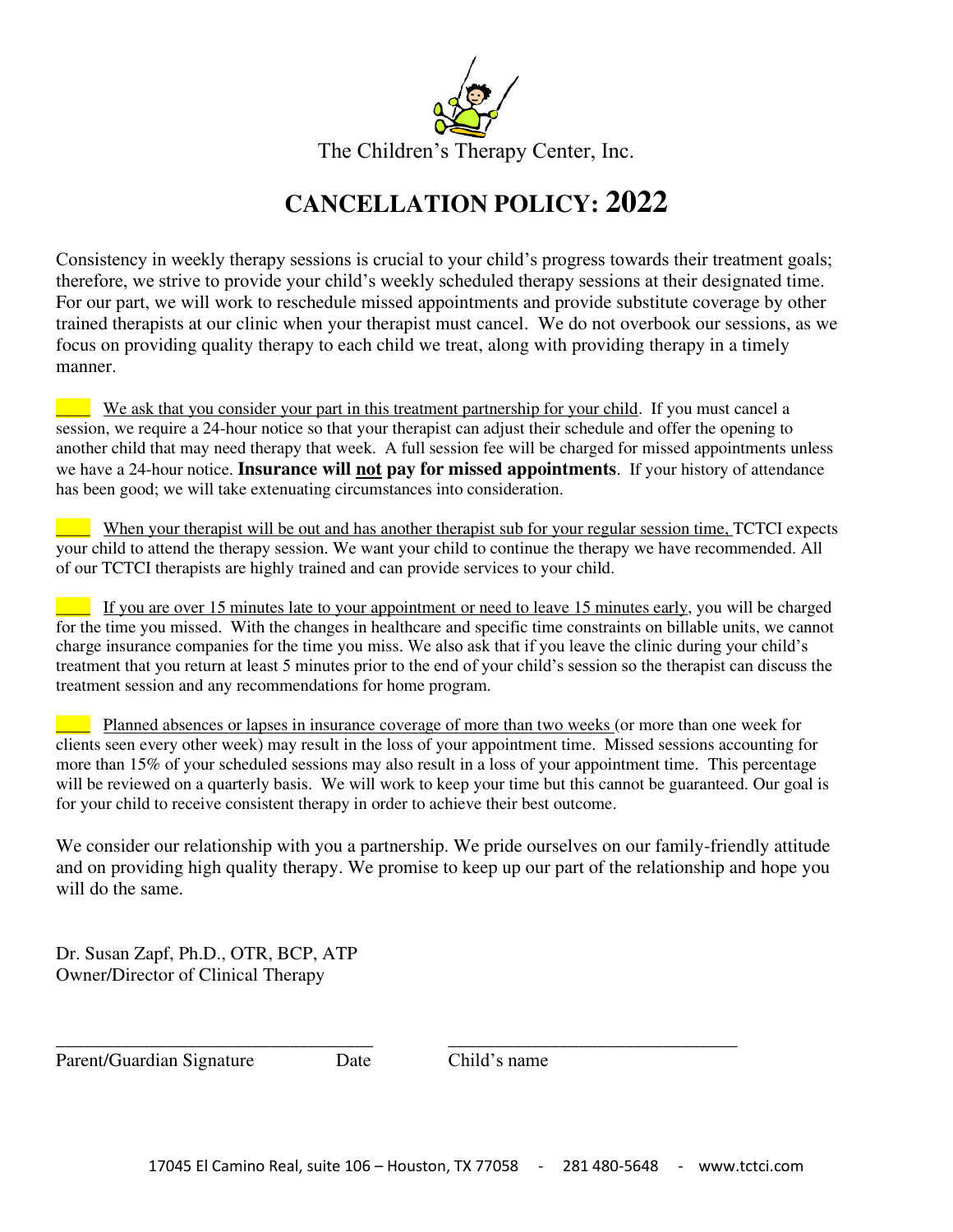

The Children's Therapy Center, Inc.

## **CANCELLATION POLICY: 2022**

Consistency in weekly therapy sessions is crucial to your child's progress towards their treatment goals; therefore, we strive to provide your child's weekly scheduled therapy sessions at their designated time. For our part, we will work to reschedule missed appointments and provide substitute coverage by other trained therapists at our clinic when your therapist must cancel. We do not overbook our sessions, as we focus on providing quality therapy to each child we treat, along with providing therapy in a timely manner.

We ask that you consider your part in this treatment partnership for your child. If you must cancel a session, we require a 24-hour notice so that your therapist can adjust their schedule and offer the opening to another child that may need therapy that week. A full session fee will be charged for missed appointments unless we have a 24-hour notice. **Insurance will not pay for missed appointments**. If your history of attendance has been good; we will take extenuating circumstances into consideration.

When your therapist will be out and has another therapist sub for your regular session time, TCTCI expects your child to attend the therapy session. We want your child to continue the therapy we have recommended. All of our TCTCI therapists are highly trained and can provide services to your child.

If you are over 15 minutes late to your appointment or need to leave 15 minutes early, you will be charged for the time you missed. With the changes in healthcare and specific time constraints on billable units, we cannot charge insurance companies for the time you miss. We also ask that if you leave the clinic during your child's treatment that you return at least 5 minutes prior to the end of your child's session so the therapist can discuss the treatment session and any recommendations for home program.

\_\_\_\_ Planned absences or lapses in insurance coverage of more than two weeks (or more than one week for clients seen every other week) may result in the loss of your appointment time. Missed sessions accounting for more than 15% of your scheduled sessions may also result in a loss of your appointment time. This percentage will be reviewed on a quarterly basis. We will work to keep your time but this cannot be guaranteed. Our goal is for your child to receive consistent therapy in order to achieve their best outcome.

We consider our relationship with you a partnership. We pride ourselves on our family-friendly attitude and on providing high quality therapy. We promise to keep up our part of the relationship and hope you will do the same.

Dr. Susan Zapf, Ph.D., OTR, BCP, ATP Owner/Director of Clinical Therapy

Parent/Guardian Signature Date Child's name

\_\_\_\_\_\_\_\_\_\_\_\_\_\_\_\_\_\_\_\_\_\_\_\_\_\_\_\_\_\_\_\_\_\_ \_\_\_\_\_\_\_\_\_\_\_\_\_\_\_\_\_\_\_\_\_\_\_\_\_\_\_\_\_\_\_